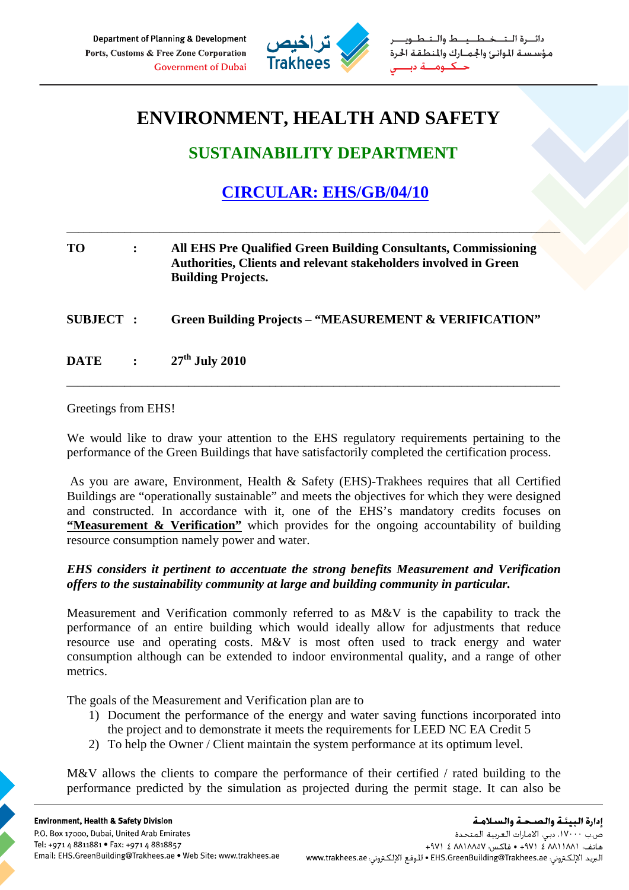

خطيط والتط مؤسستة الموانئ والجمارك والمنطقة الحرة حكنوم

## **ENVIRONMENT, HEALTH AND SAFETY**

## **SUSTAINABILITY DEPARTMENT**

## **CIRCULAR: EHS/GB/04/10**

\_\_\_\_\_\_\_\_\_\_\_\_\_\_\_\_\_\_\_\_\_\_\_\_\_\_\_\_\_\_\_\_\_\_\_\_\_\_\_\_\_\_\_\_\_\_\_\_\_\_\_\_\_\_\_\_\_\_\_\_\_\_\_\_\_\_\_\_\_\_\_\_\_\_\_\_\_\_\_\_\_\_\_\_\_

| <b>TO</b>       | $\ddot{\cdot}$ | All EHS Pre Qualified Green Building Consultants, Commissioning<br>Authorities, Clients and relevant stakeholders involved in Green<br><b>Building Projects.</b> |
|-----------------|----------------|------------------------------------------------------------------------------------------------------------------------------------------------------------------|
| <b>SUBJECT:</b> |                | <b>Green Building Projects – "MEASUREMENT &amp; VERIFICATION"</b>                                                                                                |
| DATE :          |                | $27th$ July 2010                                                                                                                                                 |

Greetings from EHS!

We would like to draw your attention to the EHS regulatory requirements pertaining to the performance of the Green Buildings that have satisfactorily completed the certification process.

 As you are aware, Environment, Health & Safety (EHS)-Trakhees requires that all Certified Buildings are "operationally sustainable" and meets the objectives for which they were designed and constructed. In accordance with it, one of the EHS's mandatory credits focuses on **"Measurement & Verification"** which provides for the ongoing accountability of building resource consumption namely power and water.

## *EHS considers it pertinent to accentuate the strong benefits Measurement and Verification offers to the sustainability community at large and building community in particular.*

Measurement and Verification commonly referred to as M&V is the capability to track the performance of an entire building which would ideally allow for adjustments that reduce resource use and operating costs. M&V is most often used to track energy and water consumption although can be extended to indoor environmental quality, and a range of other metrics.

The goals of the Measurement and Verification plan are to

- 1) Document the performance of the energy and water saving functions incorporated into the project and to demonstrate it meets the requirements for LEED NC EA Credit 5
- 2) To help the Owner / Client maintain the system performance at its optimum level.

M&V allows the clients to compare the performance of their certified / rated building to the performance predicted by the simulation as projected during the permit stage. It can also be